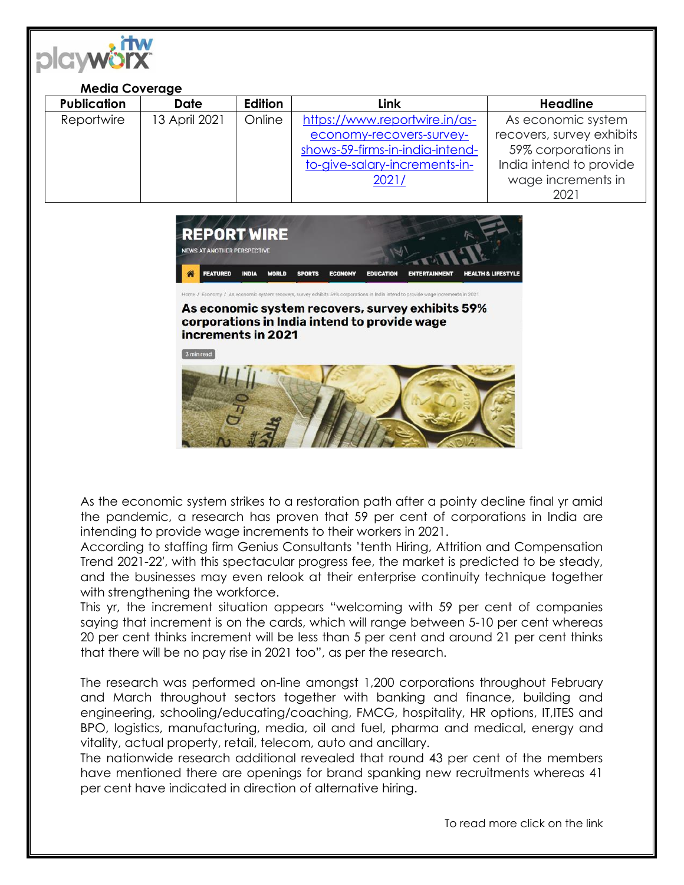

## **Media Coverage**

| <b>Publication</b> | <b>Date</b>   | <b>Edition</b> | Link                            | <b>Headline</b>           |
|--------------------|---------------|----------------|---------------------------------|---------------------------|
| Reportwire         | 13 April 2021 | Online         | https://www.reportwire.in/as-   | As economic system        |
|                    |               |                | economy-recovers-survey-        | recovers, survey exhibits |
|                    |               |                | shows-59-firms-in-india-intend- | 59% corporations in       |
|                    |               |                | to-give-salary-increments-in-   | India intend to provide   |
|                    |               |                | 2021/                           | wage increments in        |
|                    |               |                |                                 | 2021                      |



## As economic system recovers, survey exhibits 59% corporations in India intend to provide wage increments in 2021

3 min read



As the economic system strikes to a restoration path after a pointy decline final yr amid the pandemic, a research has proven that 59 per cent of corporations in India are intending to provide wage increments to their workers in 2021.

According to staffing firm Genius Consultants 'tenth Hiring, Attrition and Compensation Trend 2021-22′, with this spectacular progress fee, the market is predicted to be steady, and the businesses may even relook at their enterprise continuity technique together with strengthening the workforce.

This yr, the increment situation appears "welcoming with 59 per cent of companies saying that increment is on the cards, which will range between 5-10 per cent whereas 20 per cent thinks increment will be less than 5 per cent and around 21 per cent thinks that there will be no pay rise in 2021 too", as per the research.

The research was performed on-line amongst 1,200 corporations throughout February and March throughout sectors together with banking and finance, building and engineering, schooling/educating/coaching, FMCG, hospitality, HR options, IT,ITES and BPO, logistics, manufacturing, media, oil and fuel, pharma and medical, energy and vitality, actual property, retail, telecom, auto and ancillary.

The nationwide research additional revealed that round 43 per cent of the members have mentioned there are openings for brand spanking new recruitments whereas 41 per cent have indicated in direction of alternative hiring.

To read more click on the link